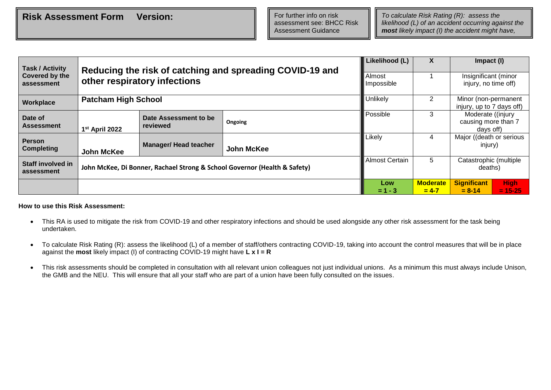*likelihood (L) of an accident occurring against the most likely impact (I) the accident might have,* 

*taking into account the control measures already* 

| <b>Task / Activity</b>                                       | Reducing the risk of catching and spreading COVID-19 and |                              |                                                                           |                       |           | Impact (I)                                   |             |  |  |  |
|--------------------------------------------------------------|----------------------------------------------------------|------------------------------|---------------------------------------------------------------------------|-----------------------|-----------|----------------------------------------------|-------------|--|--|--|
| Covered by the<br>other respiratory infections<br>assessment |                                                          |                              |                                                                           |                       |           | Insignificant (minor<br>injury, no time off) |             |  |  |  |
|                                                              | Impossible                                               |                              |                                                                           |                       |           |                                              |             |  |  |  |
| Workplace                                                    | <b>Patcham High School</b>                               |                              |                                                                           | Unlikely              | 2         | Minor (non-permanent                         |             |  |  |  |
|                                                              |                                                          |                              |                                                                           |                       |           | injury, up to 7 days off)                    |             |  |  |  |
| Date of                                                      |                                                          | Date Assessment to be        |                                                                           | Possible              | 3         | Moderate ((injury                            |             |  |  |  |
| <b>Assessment</b>                                            |                                                          | reviewed                     | Ongoing                                                                   |                       |           | causing more than 7<br>days off)             |             |  |  |  |
|                                                              | 1 <sup>st</sup> April 2022                               |                              |                                                                           |                       |           |                                              |             |  |  |  |
| <b>Person</b>                                                |                                                          |                              |                                                                           | Likely                | 4         | Major ((death or serious                     |             |  |  |  |
| <b>Completing</b>                                            | John McKee                                               | <b>Manager/ Head teacher</b> | <b>John McKee</b>                                                         |                       |           | injury)                                      |             |  |  |  |
| Staff involved in                                            |                                                          |                              |                                                                           | <b>Almost Certain</b> | 5.        | Catastrophic (multiple                       |             |  |  |  |
| assessment                                                   |                                                          |                              | John McKee, Di Bonner, Rachael Strong & School Governor (Health & Safety) |                       |           | deaths)                                      |             |  |  |  |
|                                                              |                                                          |                              |                                                                           |                       |           | <b>Significant</b>                           | <b>High</b> |  |  |  |
|                                                              |                                                          |                              |                                                                           | $= 1 - 3$             | $= 4 - 7$ | $= 8 - 14$                                   | $= 15 - 25$ |  |  |  |

## **How to use this Risk Assessment:**

- This RA is used to mitigate the risk from COVID-19 and other respiratory infections and should be used alongside any other risk assessment for the task being undertaken.
- To calculate Risk Rating (R): assess the likelihood (L) of a member of staff/others contracting COVID-19, taking into account the control measures that will be in place against the **most** likely impact (I) of contracting COVID-19 might have **L x I = R**
- This risk assessments should be completed in consultation with all relevant union colleagues not just individual unions. As a minimum this must always include Unison, the GMB and the NEU. This will ensure that all your staff who are part of a union have been fully consulted on the issues.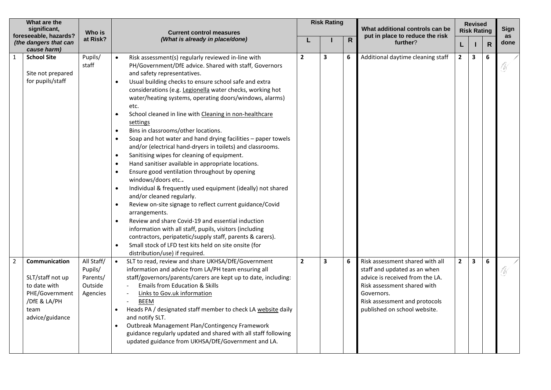| What are the<br>significant, |                                                                                                                | Who is                                                   | <b>Current control measures</b>                                                                                                                                                                                                                                                                                                                                                                                                                                                                                                                                                                                                                                                                                                                                                                                                                                                                                                                                                                                                                                                                                                                                                                                                                                                                                                               |                | <b>Risk Rating</b> |                | What additional controls can be                                                                                                                                                                                  |              | <b>Revised</b><br><b>Risk Rating</b> |              | <b>Sign</b><br>as |  |
|------------------------------|----------------------------------------------------------------------------------------------------------------|----------------------------------------------------------|-----------------------------------------------------------------------------------------------------------------------------------------------------------------------------------------------------------------------------------------------------------------------------------------------------------------------------------------------------------------------------------------------------------------------------------------------------------------------------------------------------------------------------------------------------------------------------------------------------------------------------------------------------------------------------------------------------------------------------------------------------------------------------------------------------------------------------------------------------------------------------------------------------------------------------------------------------------------------------------------------------------------------------------------------------------------------------------------------------------------------------------------------------------------------------------------------------------------------------------------------------------------------------------------------------------------------------------------------|----------------|--------------------|----------------|------------------------------------------------------------------------------------------------------------------------------------------------------------------------------------------------------------------|--------------|--------------------------------------|--------------|-------------------|--|
|                              | foreseeable, hazards?<br>(the dangers that can<br>cause harm)                                                  | at Risk?                                                 | (What is already in place/done)                                                                                                                                                                                                                                                                                                                                                                                                                                                                                                                                                                                                                                                                                                                                                                                                                                                                                                                                                                                                                                                                                                                                                                                                                                                                                                               |                |                    | $\overline{R}$ | put in place to reduce the risk<br>further?                                                                                                                                                                      | L            |                                      | $\mathsf{R}$ | done              |  |
|                              | <b>School Site</b><br>Site not prepared<br>for pupils/staff                                                    | Pupils/<br>staff                                         | Risk assessment(s) regularly reviewed in-line with<br>PH/Government/DfE advice. Shared with staff, Governors<br>and safety representatives.<br>Usual building checks to ensure school safe and extra<br>$\bullet$<br>considerations (e.g. Legionella water checks, working hot<br>water/heating systems, operating doors/windows, alarms)<br>etc.<br>School cleaned in line with Cleaning in non-healthcare<br>$\bullet$<br>settings<br>Bins in classrooms/other locations.<br>$\bullet$<br>Soap and hot water and hand drying facilities - paper towels<br>and/or (electrical hand-dryers in toilets) and classrooms.<br>Sanitising wipes for cleaning of equipment.<br>$\bullet$<br>Hand sanitiser available in appropriate locations.<br>$\bullet$<br>Ensure good ventilation throughout by opening<br>$\bullet$<br>windows/doors etc<br>Individual & frequently used equipment (ideally) not shared<br>$\bullet$<br>and/or cleaned regularly.<br>Review on-site signage to reflect current guidance/Covid<br>$\bullet$<br>arrangements.<br>Review and share Covid-19 and essential induction<br>$\bullet$<br>information with all staff, pupils, visitors (including<br>contractors, peripatetic/supply staff, parents & carers).<br>Small stock of LFD test kits held on site onsite (for<br>$\bullet$<br>distribution/use) if required. | $\overline{2}$ | 3                  | 6              | Additional daytime cleaning staff                                                                                                                                                                                | $\mathbf{2}$ | 3                                    | 6            | W                 |  |
| $\overline{2}$               | Communication<br>SLT/staff not up<br>to date with<br>PHE/Government<br>/DfE & LA/PH<br>team<br>advice/guidance | All Staff/<br>Pupils/<br>Parents/<br>Outside<br>Agencies | SLT to read, review and share UKHSA/DfE/Government<br>information and advice from LA/PH team ensuring all<br>staff/governors/parents/carers are kept up to date, including:<br><b>Emails from Education &amp; Skills</b><br>Links to Gov.uk information<br>$\sim$<br><b>BEEM</b><br>Heads PA / designated staff member to check LA website daily<br>and notify SLT.<br>Outbreak Management Plan/Contingency Framework<br>guidance regularly updated and shared with all staff following<br>updated guidance from UKHSA/DfE/Government and LA.                                                                                                                                                                                                                                                                                                                                                                                                                                                                                                                                                                                                                                                                                                                                                                                                 | $\overline{2}$ | 3                  | 6              | Risk assessment shared with all<br>staff and updated as an when<br>advice is received from the LA.<br>Risk assessment shared with<br>Governors.<br>Risk assessment and protocols<br>published on school website. | $\mathbf{2}$ | 3                                    | 6            |                   |  |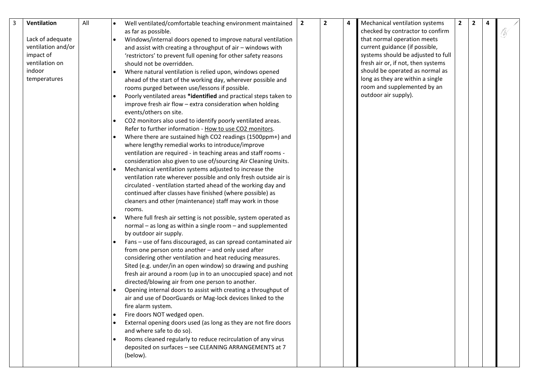| Lack of adequate<br>ventilation and/or<br>impact of<br>ventilation on<br>indoor<br>temperatures |  |
|-------------------------------------------------------------------------------------------------|--|
|-------------------------------------------------------------------------------------------------|--|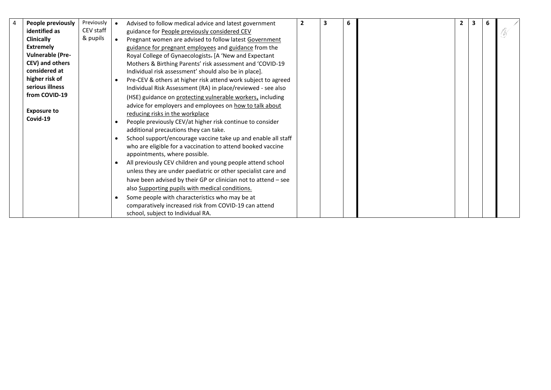| 4 | People previously       | Previously | Advised to follow medical advice and latest government         | $\mathbf{2}$ | 3 | 6 | $\mathbf{2}$ | 3 | 6 |    |
|---|-------------------------|------------|----------------------------------------------------------------|--------------|---|---|--------------|---|---|----|
|   | identified as           | CEV staff  | guidance for People previously considered CEV                  |              |   |   |              |   |   | Ñ, |
|   | <b>Clinically</b>       | & pupils   | Pregnant women are advised to follow latest Government         |              |   |   |              |   |   |    |
|   | <b>Extremely</b>        |            | guidance for pregnant employees and guidance from the          |              |   |   |              |   |   |    |
|   | <b>Vulnerable (Pre-</b> |            | Royal College of Gynaecologists. [A 'New and Expectant         |              |   |   |              |   |   |    |
|   | CEV) and others         |            | Mothers & Birthing Parents' risk assessment and 'COVID-19      |              |   |   |              |   |   |    |
|   | considered at           |            | Individual risk assessment' should also be in place].          |              |   |   |              |   |   |    |
|   | higher risk of          |            | Pre-CEV & others at higher risk attend work subject to agreed  |              |   |   |              |   |   |    |
|   | serious illness         |            | Individual Risk Assessment (RA) in place/reviewed - see also   |              |   |   |              |   |   |    |
|   | from COVID-19           |            | (HSE) guidance on protecting vulnerable workers, including     |              |   |   |              |   |   |    |
|   |                         |            | advice for employers and employees on how to talk about        |              |   |   |              |   |   |    |
|   | <b>Exposure to</b>      |            | reducing risks in the workplace                                |              |   |   |              |   |   |    |
|   | Covid-19                |            | People previously CEV/at higher risk continue to consider      |              |   |   |              |   |   |    |
|   |                         |            | additional precautions they can take.                          |              |   |   |              |   |   |    |
|   |                         |            | School support/encourage vaccine take up and enable all staff  |              |   |   |              |   |   |    |
|   |                         |            | who are eligible for a vaccination to attend booked vaccine    |              |   |   |              |   |   |    |
|   |                         |            | appointments, where possible.                                  |              |   |   |              |   |   |    |
|   |                         |            | All previously CEV children and young people attend school     |              |   |   |              |   |   |    |
|   |                         |            | unless they are under paediatric or other specialist care and  |              |   |   |              |   |   |    |
|   |                         |            | have been advised by their GP or clinician not to attend - see |              |   |   |              |   |   |    |
|   |                         |            | also Supporting pupils with medical conditions.                |              |   |   |              |   |   |    |
|   |                         |            | Some people with characteristics who may be at                 |              |   |   |              |   |   |    |
|   |                         |            | comparatively increased risk from COVID-19 can attend          |              |   |   |              |   |   |    |
|   |                         |            | school, subject to Individual RA.                              |              |   |   |              |   |   |    |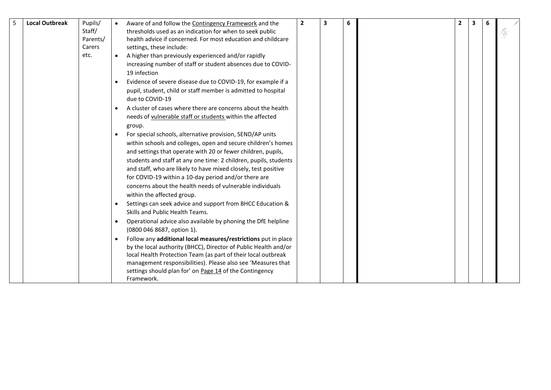| $5\phantom{.0}$ | <b>Local Outbreak</b> | Pupils/  |           | Aware of and follow the Contingency Framework and the            | $\overline{2}$ | 3 | 6 | $\overline{2}$ | $\overline{\mathbf{3}}$ | 6 |  |
|-----------------|-----------------------|----------|-----------|------------------------------------------------------------------|----------------|---|---|----------------|-------------------------|---|--|
|                 |                       | Staff/   |           | thresholds used as an indication for when to seek public         |                |   |   |                |                         |   |  |
|                 |                       | Parents/ |           | health advice if concerned. For most education and childcare     |                |   |   |                |                         |   |  |
|                 |                       | Carers   |           | settings, these include:                                         |                |   |   |                |                         |   |  |
|                 |                       | etc.     |           | A higher than previously experienced and/or rapidly              |                |   |   |                |                         |   |  |
|                 |                       |          |           | increasing number of staff or student absences due to COVID-     |                |   |   |                |                         |   |  |
|                 |                       |          |           | 19 infection                                                     |                |   |   |                |                         |   |  |
|                 |                       |          |           | Evidence of severe disease due to COVID-19, for example if a     |                |   |   |                |                         |   |  |
|                 |                       |          |           | pupil, student, child or staff member is admitted to hospital    |                |   |   |                |                         |   |  |
|                 |                       |          |           | due to COVID-19                                                  |                |   |   |                |                         |   |  |
|                 |                       |          |           | A cluster of cases where there are concerns about the health     |                |   |   |                |                         |   |  |
|                 |                       |          |           | needs of vulnerable staff or students within the affected        |                |   |   |                |                         |   |  |
|                 |                       |          |           | group.                                                           |                |   |   |                |                         |   |  |
|                 |                       |          |           | For special schools, alternative provision, SEND/AP units        |                |   |   |                |                         |   |  |
|                 |                       |          |           | within schools and colleges, open and secure children's homes    |                |   |   |                |                         |   |  |
|                 |                       |          |           | and settings that operate with 20 or fewer children, pupils,     |                |   |   |                |                         |   |  |
|                 |                       |          |           | students and staff at any one time: 2 children, pupils, students |                |   |   |                |                         |   |  |
|                 |                       |          |           | and staff, who are likely to have mixed closely, test positive   |                |   |   |                |                         |   |  |
|                 |                       |          |           | for COVID-19 within a 10-day period and/or there are             |                |   |   |                |                         |   |  |
|                 |                       |          |           | concerns about the health needs of vulnerable individuals        |                |   |   |                |                         |   |  |
|                 |                       |          |           | within the affected group.                                       |                |   |   |                |                         |   |  |
|                 |                       |          |           | Settings can seek advice and support from BHCC Education &       |                |   |   |                |                         |   |  |
|                 |                       |          |           | Skills and Public Health Teams.                                  |                |   |   |                |                         |   |  |
|                 |                       |          | ٠         | Operational advice also available by phoning the DfE helpline    |                |   |   |                |                         |   |  |
|                 |                       |          |           | (0800 046 8687, option 1).                                       |                |   |   |                |                         |   |  |
|                 |                       |          | $\bullet$ | Follow any additional local measures/restrictions put in place   |                |   |   |                |                         |   |  |
|                 |                       |          |           | by the local authority (BHCC), Director of Public Health and/or  |                |   |   |                |                         |   |  |
|                 |                       |          |           | local Health Protection Team (as part of their local outbreak    |                |   |   |                |                         |   |  |
|                 |                       |          |           | management responsibilities). Please also see 'Measures that     |                |   |   |                |                         |   |  |
|                 |                       |          |           | settings should plan for' on Page 14 of the Contingency          |                |   |   |                |                         |   |  |
|                 |                       |          |           | Framework.                                                       |                |   |   |                |                         |   |  |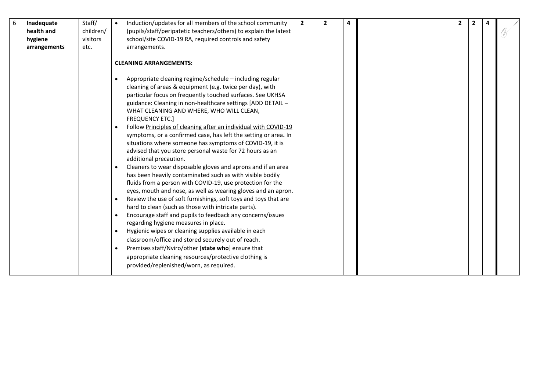| 6 | Inadequate<br>health and | Staff/<br>children/ | Induction/updates for all members of the school community<br>(pupils/staff/peripatetic teachers/others) to explain the latest                                                                                                                                                                                                                                                                                                                                                                                                                                                                                                                                                                                                                                                                                                                                                                                                                                                                                                                                                                                                                                                                                                                                                                                                                                                                                                                         | $\overline{2}$ | $\overline{2}$ | 4 | $\overline{2}$ | $\overline{2}$ |  |  |
|---|--------------------------|---------------------|-------------------------------------------------------------------------------------------------------------------------------------------------------------------------------------------------------------------------------------------------------------------------------------------------------------------------------------------------------------------------------------------------------------------------------------------------------------------------------------------------------------------------------------------------------------------------------------------------------------------------------------------------------------------------------------------------------------------------------------------------------------------------------------------------------------------------------------------------------------------------------------------------------------------------------------------------------------------------------------------------------------------------------------------------------------------------------------------------------------------------------------------------------------------------------------------------------------------------------------------------------------------------------------------------------------------------------------------------------------------------------------------------------------------------------------------------------|----------------|----------------|---|----------------|----------------|--|--|
|   | hygiene                  | visitors            | school/site COVID-19 RA, required controls and safety                                                                                                                                                                                                                                                                                                                                                                                                                                                                                                                                                                                                                                                                                                                                                                                                                                                                                                                                                                                                                                                                                                                                                                                                                                                                                                                                                                                                 |                |                |   |                |                |  |  |
|   | arrangements             | etc.                | arrangements.                                                                                                                                                                                                                                                                                                                                                                                                                                                                                                                                                                                                                                                                                                                                                                                                                                                                                                                                                                                                                                                                                                                                                                                                                                                                                                                                                                                                                                         |                |                |   |                |                |  |  |
|   |                          |                     |                                                                                                                                                                                                                                                                                                                                                                                                                                                                                                                                                                                                                                                                                                                                                                                                                                                                                                                                                                                                                                                                                                                                                                                                                                                                                                                                                                                                                                                       |                |                |   |                |                |  |  |
|   |                          |                     | <b>CLEANING ARRANGEMENTS:</b>                                                                                                                                                                                                                                                                                                                                                                                                                                                                                                                                                                                                                                                                                                                                                                                                                                                                                                                                                                                                                                                                                                                                                                                                                                                                                                                                                                                                                         |                |                |   |                |                |  |  |
|   |                          |                     | Appropriate cleaning regime/schedule - including regular<br>$\bullet$<br>cleaning of areas & equipment (e.g. twice per day), with<br>particular focus on frequently touched surfaces. See UKHSA<br>guidance: Cleaning in non-healthcare settings [ADD DETAIL -<br>WHAT CLEANING AND WHERE, WHO WILL CLEAN,<br><b>FREQUENCY ETC.]</b><br>Follow Principles of cleaning after an individual with COVID-19<br>$\bullet$<br>symptoms, or a confirmed case, has left the setting or area. In<br>situations where someone has symptoms of COVID-19, it is<br>advised that you store personal waste for 72 hours as an<br>additional precaution.<br>Cleaners to wear disposable gloves and aprons and if an area<br>has been heavily contaminated such as with visible bodily<br>fluids from a person with COVID-19, use protection for the<br>eyes, mouth and nose, as well as wearing gloves and an apron.<br>Review the use of soft furnishings, soft toys and toys that are<br>$\bullet$<br>hard to clean (such as those with intricate parts).<br>Encourage staff and pupils to feedback any concerns/issues<br>$\bullet$<br>regarding hygiene measures in place.<br>Hygienic wipes or cleaning supplies available in each<br>$\bullet$<br>classroom/office and stored securely out of reach.<br>Premises staff/Nviro/other [state who] ensure that<br>appropriate cleaning resources/protective clothing is<br>provided/replenished/worn, as required. |                |                |   |                |                |  |  |
|   |                          |                     |                                                                                                                                                                                                                                                                                                                                                                                                                                                                                                                                                                                                                                                                                                                                                                                                                                                                                                                                                                                                                                                                                                                                                                                                                                                                                                                                                                                                                                                       |                |                |   |                |                |  |  |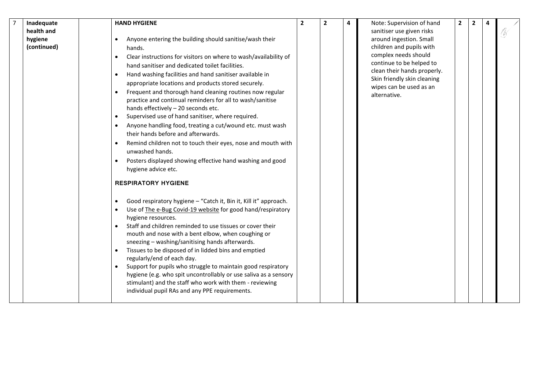| $\overline{7}$ | Inadequate  | <b>HAND HYGIENE</b>                                                                             | $\overline{2}$ | $\overline{2}$ | 4 | Note: Supervision of hand                              | $\overline{2}$ | $\overline{2}$ |    |
|----------------|-------------|-------------------------------------------------------------------------------------------------|----------------|----------------|---|--------------------------------------------------------|----------------|----------------|----|
|                | health and  |                                                                                                 |                |                |   | sanitiser use given risks                              |                |                | Ñ, |
|                | hygiene     | Anyone entering the building should sanitise/wash their<br>$\bullet$                            |                |                |   | around ingestion. Small                                |                |                |    |
|                | (continued) | hands.                                                                                          |                |                |   | children and pupils with                               |                |                |    |
|                |             | Clear instructions for visitors on where to wash/availability of<br>$\bullet$                   |                |                |   | complex needs should                                   |                |                |    |
|                |             | hand sanitiser and dedicated toilet facilities.                                                 |                |                |   | continue to be helped to                               |                |                |    |
|                |             | Hand washing facilities and hand sanitiser available in<br>$\bullet$                            |                |                |   | clean their hands properly.                            |                |                |    |
|                |             | appropriate locations and products stored securely.                                             |                |                |   | Skin friendly skin cleaning<br>wipes can be used as an |                |                |    |
|                |             | Frequent and thorough hand cleaning routines now regular<br>$\bullet$                           |                |                |   | alternative.                                           |                |                |    |
|                |             | practice and continual reminders for all to wash/sanitise                                       |                |                |   |                                                        |                |                |    |
|                |             | hands effectively - 20 seconds etc.                                                             |                |                |   |                                                        |                |                |    |
|                |             | Supervised use of hand sanitiser, where required.                                               |                |                |   |                                                        |                |                |    |
|                |             | Anyone handling food, treating a cut/wound etc. must wash<br>$\bullet$                          |                |                |   |                                                        |                |                |    |
|                |             | their hands before and afterwards.                                                              |                |                |   |                                                        |                |                |    |
|                |             | Remind children not to touch their eyes, nose and mouth with<br>$\bullet$                       |                |                |   |                                                        |                |                |    |
|                |             | unwashed hands.                                                                                 |                |                |   |                                                        |                |                |    |
|                |             | Posters displayed showing effective hand washing and good<br>$\bullet$                          |                |                |   |                                                        |                |                |    |
|                |             | hygiene advice etc.                                                                             |                |                |   |                                                        |                |                |    |
|                |             | <b>RESPIRATORY HYGIENE</b>                                                                      |                |                |   |                                                        |                |                |    |
|                |             | Good respiratory hygiene - "Catch it, Bin it, Kill it" approach.<br>$\bullet$                   |                |                |   |                                                        |                |                |    |
|                |             | Use of The e-Bug Covid-19 website for good hand/respiratory<br>$\bullet$                        |                |                |   |                                                        |                |                |    |
|                |             | hygiene resources.                                                                              |                |                |   |                                                        |                |                |    |
|                |             | Staff and children reminded to use tissues or cover their                                       |                |                |   |                                                        |                |                |    |
|                |             | mouth and nose with a bent elbow, when coughing or                                              |                |                |   |                                                        |                |                |    |
|                |             | sneezing - washing/sanitising hands afterwards.                                                 |                |                |   |                                                        |                |                |    |
|                |             | Tissues to be disposed of in lidded bins and emptied<br>$\bullet$<br>regularly/end of each day. |                |                |   |                                                        |                |                |    |
|                |             | Support for pupils who struggle to maintain good respiratory<br>$\bullet$                       |                |                |   |                                                        |                |                |    |
|                |             | hygiene (e.g. who spit uncontrollably or use saliva as a sensory                                |                |                |   |                                                        |                |                |    |
|                |             | stimulant) and the staff who work with them - reviewing                                         |                |                |   |                                                        |                |                |    |
|                |             | individual pupil RAs and any PPE requirements.                                                  |                |                |   |                                                        |                |                |    |
|                |             |                                                                                                 |                |                |   |                                                        |                |                |    |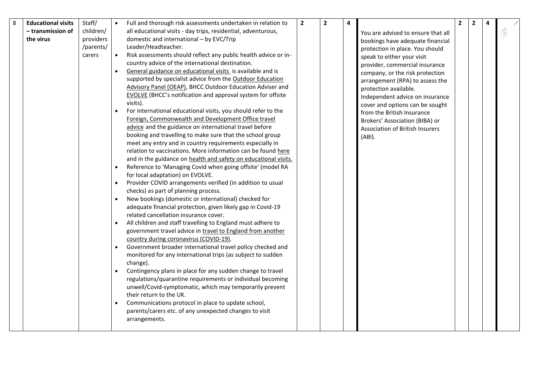| 8 | <b>Educational visits</b> | Staff/    |           | Full and thorough risk assessments undertaken in relation to                                         | $\overline{2}$ | $\overline{\mathbf{2}}$ | 4 |                                        | $\overline{2}$ | $\mathbf{2}$ | 4 |    |
|---|---------------------------|-----------|-----------|------------------------------------------------------------------------------------------------------|----------------|-------------------------|---|----------------------------------------|----------------|--------------|---|----|
|   | - transmission of         | children/ |           | all educational visits - day trips, residential, adventurous,                                        |                |                         |   | You are advised to ensure that all     |                |              |   | Ô, |
|   | the virus                 | providers |           | domestic and international - by EVC/Trip                                                             |                |                         |   | bookings have adequate financial       |                |              |   |    |
|   |                           | /parents/ |           | Leader/Headteacher.                                                                                  |                |                         |   | protection in place. You should        |                |              |   |    |
|   |                           | carers    |           | Risk assessments should reflect any public health advice or in-                                      |                |                         |   | speak to either your visit             |                |              |   |    |
|   |                           |           |           | country advice of the international destination.                                                     |                |                         |   | provider, commercial insurance         |                |              |   |    |
|   |                           |           |           | General guidance on educational visits is available and is                                           |                |                         |   | company, or the risk protection        |                |              |   |    |
|   |                           |           |           | supported by specialist advice from the Outdoor Education                                            |                |                         |   | arrangement (RPA) to assess the        |                |              |   |    |
|   |                           |           |           | Advisory Panel (OEAP), BHCC Outdoor Education Adviser and                                            |                |                         |   | protection available.                  |                |              |   |    |
|   |                           |           |           | <b>EVOLVE</b> (BHCC's notification and approval system for offsite                                   |                |                         |   | Independent advice on insurance        |                |              |   |    |
|   |                           |           |           | visits).                                                                                             |                |                         |   | cover and options can be sought        |                |              |   |    |
|   |                           |           |           | For international educational visits, you should refer to the                                        |                |                         |   | from the British Insurance             |                |              |   |    |
|   |                           |           |           | Foreign, Commonwealth and Development Office travel                                                  |                |                         |   | Brokers' Association (BIBA) or         |                |              |   |    |
|   |                           |           |           | advice and the guidance on international travel before                                               |                |                         |   | <b>Association of British Insurers</b> |                |              |   |    |
|   |                           |           |           | booking and travelling to make sure that the school group                                            |                |                         |   | (ABI).                                 |                |              |   |    |
|   |                           |           |           | meet any entry and in country requirements especially in                                             |                |                         |   |                                        |                |              |   |    |
|   |                           |           |           | relation to vaccinations. More information can be found here                                         |                |                         |   |                                        |                |              |   |    |
|   |                           |           |           | and in the guidance on health and safety on educational visits.                                      |                |                         |   |                                        |                |              |   |    |
|   |                           |           |           | Reference to 'Managing Covid when going offsite' (model RA                                           |                |                         |   |                                        |                |              |   |    |
|   |                           |           |           | for local adaptation) on EVOLVE.                                                                     |                |                         |   |                                        |                |              |   |    |
|   |                           |           | $\bullet$ | Provider COVID arrangements verified (in addition to usual                                           |                |                         |   |                                        |                |              |   |    |
|   |                           |           |           | checks) as part of planning process.                                                                 |                |                         |   |                                        |                |              |   |    |
|   |                           |           | $\bullet$ | New bookings (domestic or international) checked for                                                 |                |                         |   |                                        |                |              |   |    |
|   |                           |           |           | adequate financial protection, given likely gap in Covid-19                                          |                |                         |   |                                        |                |              |   |    |
|   |                           |           |           | related cancellation insurance cover.                                                                |                |                         |   |                                        |                |              |   |    |
|   |                           |           |           | All children and staff travelling to England must adhere to                                          |                |                         |   |                                        |                |              |   |    |
|   |                           |           |           | government travel advice in travel to England from another                                           |                |                         |   |                                        |                |              |   |    |
|   |                           |           |           | country during coronavirus (COVID-19).<br>Government broader international travel policy checked and |                |                         |   |                                        |                |              |   |    |
|   |                           |           |           | monitored for any international trips (as subject to sudden                                          |                |                         |   |                                        |                |              |   |    |
|   |                           |           |           | change).                                                                                             |                |                         |   |                                        |                |              |   |    |
|   |                           |           | $\bullet$ | Contingency plans in place for any sudden change to travel                                           |                |                         |   |                                        |                |              |   |    |
|   |                           |           |           | regulations/quarantine requirements or individual becoming                                           |                |                         |   |                                        |                |              |   |    |
|   |                           |           |           | unwell/Covid-symptomatic, which may temporarily prevent                                              |                |                         |   |                                        |                |              |   |    |
|   |                           |           |           | their return to the UK.                                                                              |                |                         |   |                                        |                |              |   |    |
|   |                           |           |           | Communications protocol in place to update school,                                                   |                |                         |   |                                        |                |              |   |    |
|   |                           |           |           | parents/carers etc. of any unexpected changes to visit                                               |                |                         |   |                                        |                |              |   |    |
|   |                           |           |           | arrangements.                                                                                        |                |                         |   |                                        |                |              |   |    |
|   |                           |           |           |                                                                                                      |                |                         |   |                                        |                |              |   |    |